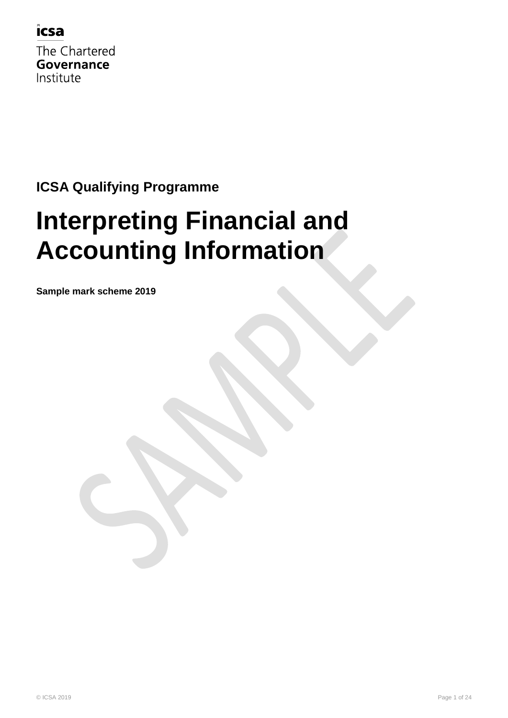

The Chartered Governance Institute

#### **ICSA Qualifying Programme**

# **Interpreting Financial and Accounting Information**

**Sample mark scheme 2019**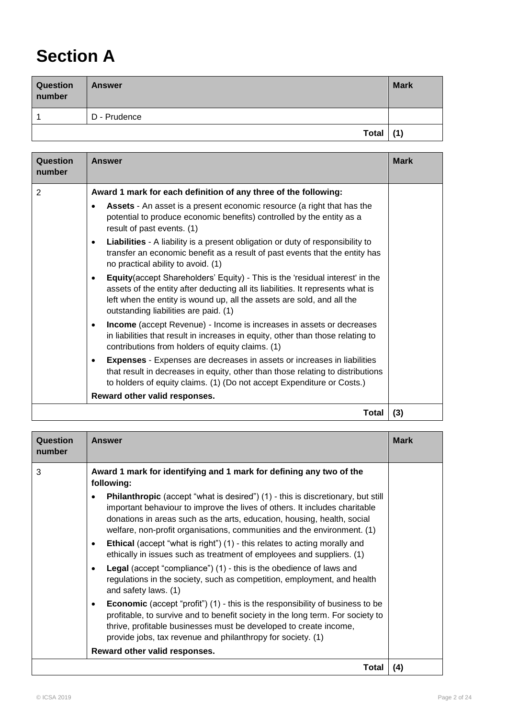## **Section A**

| <b>Question</b><br>number | <b>Answer</b> | <b>Mark</b> |
|---------------------------|---------------|-------------|
|                           | D - Prudence  |             |
|                           | <b>Total</b>  | (1)         |

| Question<br>number | <b>Answer</b>                                                                                                                                                                                                                                                                                   | <b>Mark</b> |
|--------------------|-------------------------------------------------------------------------------------------------------------------------------------------------------------------------------------------------------------------------------------------------------------------------------------------------|-------------|
| $\overline{2}$     | Award 1 mark for each definition of any three of the following:                                                                                                                                                                                                                                 |             |
|                    | Assets - An asset is a present economic resource (a right that has the<br>$\bullet$<br>potential to produce economic benefits) controlled by the entity as a<br>result of past events. (1)                                                                                                      |             |
|                    | Liabilities - A liability is a present obligation or duty of responsibility to<br>$\bullet$<br>transfer an economic benefit as a result of past events that the entity has<br>no practical ability to avoid. (1)                                                                                |             |
|                    | Equity(accept Shareholders' Equity) - This is the 'residual interest' in the<br>$\bullet$<br>assets of the entity after deducting all its liabilities. It represents what is<br>left when the entity is wound up, all the assets are sold, and all the<br>outstanding liabilities are paid. (1) |             |
|                    | Income (accept Revenue) - Income is increases in assets or decreases<br>$\bullet$<br>in liabilities that result in increases in equity, other than those relating to<br>contributions from holders of equity claims. (1)                                                                        |             |
|                    | <b>Expenses</b> - Expenses are decreases in assets or increases in liabilities<br>٠<br>that result in decreases in equity, other than those relating to distributions<br>to holders of equity claims. (1) (Do not accept Expenditure or Costs.)                                                 |             |
|                    | Reward other valid responses.                                                                                                                                                                                                                                                                   |             |
|                    | Total                                                                                                                                                                                                                                                                                           | (3)         |

| Question<br>number | <b>Answer</b>                                                                                                                                                                                                                                                                                                                           | <b>Mark</b> |
|--------------------|-----------------------------------------------------------------------------------------------------------------------------------------------------------------------------------------------------------------------------------------------------------------------------------------------------------------------------------------|-------------|
| 3                  | Award 1 mark for identifying and 1 mark for defining any two of the<br>following:                                                                                                                                                                                                                                                       |             |
|                    | <b>Philanthropic</b> (accept "what is desired") (1) - this is discretionary, but still<br>$\bullet$<br>important behaviour to improve the lives of others. It includes charitable<br>donations in areas such as the arts, education, housing, health, social<br>welfare, non-profit organisations, communities and the environment. (1) |             |
|                    | <b>Ethical</b> (accept "what is right") (1) - this relates to acting morally and<br>$\bullet$<br>ethically in issues such as treatment of employees and suppliers. (1)                                                                                                                                                                  |             |
|                    | <b>Legal</b> (accept "compliance") (1) - this is the obedience of laws and<br>$\bullet$<br>regulations in the society, such as competition, employment, and health<br>and safety laws. (1)                                                                                                                                              |             |
|                    | <b>Economic</b> (accept "profit") (1) - this is the responsibility of business to be<br>$\bullet$<br>profitable, to survive and to benefit society in the long term. For society to<br>thrive, profitable businesses must be developed to create income,<br>provide jobs, tax revenue and philanthropy for society. (1)                 |             |
|                    | Reward other valid responses.                                                                                                                                                                                                                                                                                                           |             |
|                    | Total                                                                                                                                                                                                                                                                                                                                   | (4)         |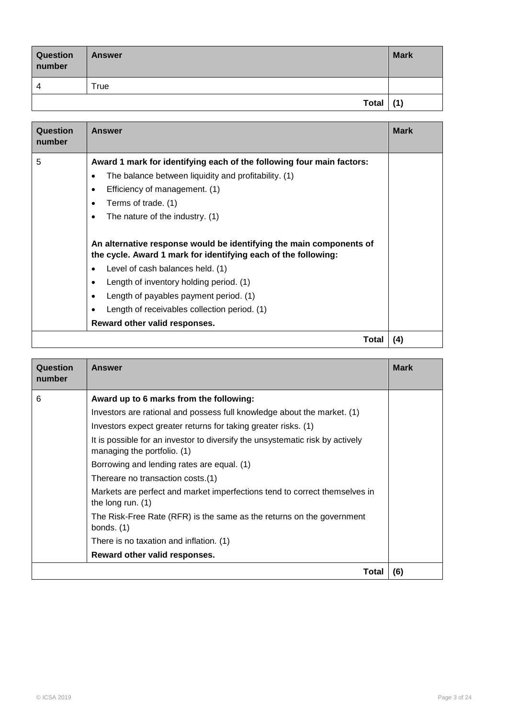| Question<br>number | <b>Answer</b> | <b>Mark</b> |
|--------------------|---------------|-------------|
| Δ                  | True          |             |
|                    | Total $(1)$   |             |

| Question<br>number | <b>Answer</b>                                                                                                                                                                                                                                                                                                                                   | <b>Mark</b> |
|--------------------|-------------------------------------------------------------------------------------------------------------------------------------------------------------------------------------------------------------------------------------------------------------------------------------------------------------------------------------------------|-------------|
| 5                  | Award 1 mark for identifying each of the following four main factors:<br>The balance between liquidity and profitability. (1)<br>$\bullet$<br>Efficiency of management. (1)<br>Terms of trade. (1)<br>The nature of the industry. (1)<br>٠                                                                                                      |             |
|                    | An alternative response would be identifying the main components of<br>the cycle. Award 1 mark for identifying each of the following:<br>Level of cash balances held. (1)<br>Length of inventory holding period. (1)<br>Length of payables payment period. (1)<br>Length of receivables collection period. (1)<br>Reward other valid responses. |             |
|                    | Total                                                                                                                                                                                                                                                                                                                                           | (4)         |

| Question<br>number | <b>Answer</b>                                                                                                | <b>Mark</b> |
|--------------------|--------------------------------------------------------------------------------------------------------------|-------------|
| 6                  | Award up to 6 marks from the following:                                                                      |             |
|                    | Investors are rational and possess full knowledge about the market. (1)                                      |             |
|                    | Investors expect greater returns for taking greater risks. (1)                                               |             |
|                    | It is possible for an investor to diversify the unsystematic risk by actively<br>managing the portfolio. (1) |             |
|                    | Borrowing and lending rates are equal. (1)                                                                   |             |
|                    | Thereare no transaction costs.(1)                                                                            |             |
|                    | Markets are perfect and market imperfections tend to correct themselves in<br>the long run. $(1)$            |             |
|                    | The Risk-Free Rate (RFR) is the same as the returns on the government<br>bonds. $(1)$                        |             |
|                    | There is no taxation and inflation. (1)                                                                      |             |
|                    | Reward other valid responses.                                                                                |             |
|                    | Total                                                                                                        | (6)         |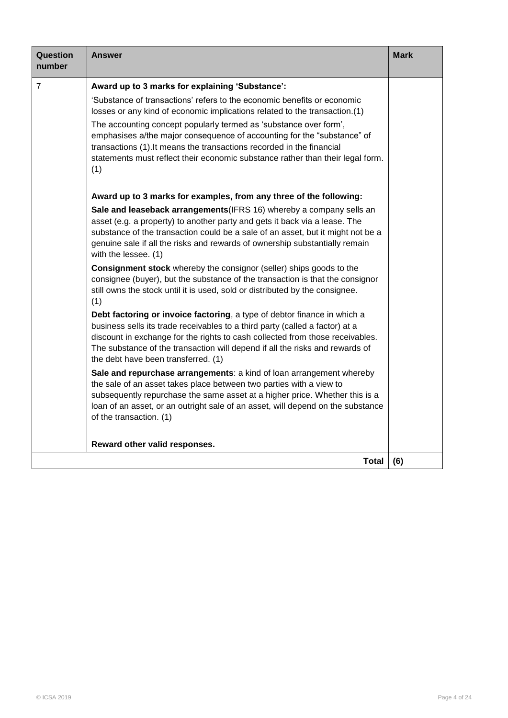| Question<br>number | Answer                                                                                                                                                                                                                                                                                                                                                           | <b>Mark</b> |
|--------------------|------------------------------------------------------------------------------------------------------------------------------------------------------------------------------------------------------------------------------------------------------------------------------------------------------------------------------------------------------------------|-------------|
| $\overline{7}$     | Award up to 3 marks for explaining 'Substance':                                                                                                                                                                                                                                                                                                                  |             |
|                    | 'Substance of transactions' refers to the economic benefits or economic<br>losses or any kind of economic implications related to the transaction.(1)                                                                                                                                                                                                            |             |
|                    | The accounting concept popularly termed as 'substance over form',<br>emphasises a/the major consequence of accounting for the "substance" of<br>transactions (1). It means the transactions recorded in the financial<br>statements must reflect their economic substance rather than their legal form.<br>(1)                                                   |             |
|                    | Award up to 3 marks for examples, from any three of the following:                                                                                                                                                                                                                                                                                               |             |
|                    | Sale and leaseback arrangements (IFRS 16) whereby a company sells an<br>asset (e.g. a property) to another party and gets it back via a lease. The<br>substance of the transaction could be a sale of an asset, but it might not be a<br>genuine sale if all the risks and rewards of ownership substantially remain<br>with the lessee. (1)                     |             |
|                    | Consignment stock whereby the consignor (seller) ships goods to the<br>consignee (buyer), but the substance of the transaction is that the consignor<br>still owns the stock until it is used, sold or distributed by the consignee.<br>(1)                                                                                                                      |             |
|                    | Debt factoring or invoice factoring, a type of debtor finance in which a<br>business sells its trade receivables to a third party (called a factor) at a<br>discount in exchange for the rights to cash collected from those receivables.<br>The substance of the transaction will depend if all the risks and rewards of<br>the debt have been transferred. (1) |             |
|                    | Sale and repurchase arrangements: a kind of loan arrangement whereby<br>the sale of an asset takes place between two parties with a view to<br>subsequently repurchase the same asset at a higher price. Whether this is a<br>loan of an asset, or an outright sale of an asset, will depend on the substance<br>of the transaction. (1)                         |             |
|                    | Reward other valid responses.                                                                                                                                                                                                                                                                                                                                    |             |
|                    | Total                                                                                                                                                                                                                                                                                                                                                            | (6)         |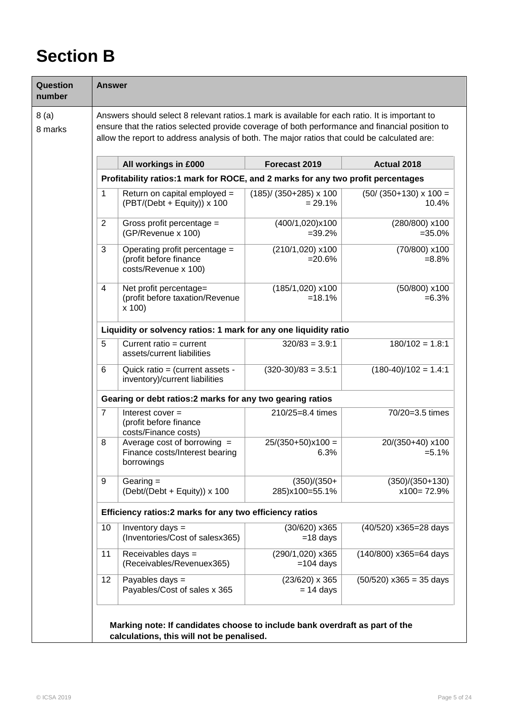## **Section B**

| Question<br>number | <b>Answer</b>                                              |                                                                                                                                                                                                                                                                                                  |                                      |                                       |  |
|--------------------|------------------------------------------------------------|--------------------------------------------------------------------------------------------------------------------------------------------------------------------------------------------------------------------------------------------------------------------------------------------------|--------------------------------------|---------------------------------------|--|
| 8(a)<br>8 marks    |                                                            | Answers should select 8 relevant ratios.1 mark is available for each ratio. It is important to<br>ensure that the ratios selected provide coverage of both performance and financial position to<br>allow the report to address analysis of both. The major ratios that could be calculated are: |                                      |                                       |  |
|                    |                                                            | All workings in £000                                                                                                                                                                                                                                                                             | Forecast 2019                        | Actual 2018                           |  |
|                    |                                                            | Profitability ratios:1 mark for ROCE, and 2 marks for any two profit percentages                                                                                                                                                                                                                 |                                      |                                       |  |
|                    | 1                                                          | Return on capital employed =<br>$(PBT/(Debt + Equity)) \times 100$                                                                                                                                                                                                                               | $(185)$ (350+285) x 100<br>$= 29.1%$ | $(50/(350+130) \times 100 =$<br>10.4% |  |
|                    | 2                                                          | Gross profit percentage =<br>(GP/Revenue x 100)                                                                                                                                                                                                                                                  | (400/1,020)x100<br>$=39.2%$          | (280/800) x100<br>$=35.0%$            |  |
|                    | 3                                                          | Operating profit percentage =<br>(profit before finance<br>costs/Revenue x 100)                                                                                                                                                                                                                  | (210/1,020) x100<br>$= 20.6%$        | (70/800) x100<br>$= 8.8\%$            |  |
|                    | 4                                                          | Net profit percentage=<br>(profit before taxation/Revenue<br>x 100                                                                                                                                                                                                                               | (185/1,020) x100<br>$=18.1%$         | (50/800) x100<br>$= 6.3%$             |  |
|                    |                                                            | Liquidity or solvency ratios: 1 mark for any one liquidity ratio                                                                                                                                                                                                                                 |                                      |                                       |  |
|                    | 5                                                          | Current ratio = $current$<br>assets/current liabilities                                                                                                                                                                                                                                          | $320/83 = 3.9:1$                     | $180/102 = 1.8:1$                     |  |
|                    | 6                                                          | Quick ratio = (current assets -<br>inventory)/current liabilities                                                                                                                                                                                                                                | $(320-30)/83 = 3.5:1$                | $(180-40)/102 = 1.4:1$                |  |
|                    | Gearing or debt ratios: 2 marks for any two gearing ratios |                                                                                                                                                                                                                                                                                                  |                                      |                                       |  |
|                    | $\overline{7}$                                             | Interest cover $=$<br>(profit before finance<br>costs/Finance costs)                                                                                                                                                                                                                             | 210/25=8.4 times                     | 70/20=3.5 times                       |  |
|                    | 8                                                          | Average cost of borrowing $=$<br>Finance costs/Interest bearing<br>borrowings                                                                                                                                                                                                                    | $25/(350+50)x100=$<br>6.3%           | 20/(350+40) x100<br>$= 5.1%$          |  |
|                    | 9                                                          | Gearing $=$<br>$(Debt/(Debt + Equity)) \times 100$                                                                                                                                                                                                                                               | $(350)/(350+$<br>285)x100=55.1%      | $(350)/(350+130)$<br>$x100 = 72.9\%$  |  |
|                    | Efficiency ratios:2 marks for any two efficiency ratios    |                                                                                                                                                                                                                                                                                                  |                                      |                                       |  |
|                    | 10                                                         | Inventory days =<br>(Inventories/Cost of salesx365)                                                                                                                                                                                                                                              | (30/620) x365<br>$=18$ days          | (40/520) x365=28 days                 |  |
|                    | 11                                                         | Receivables days =<br>(Receivables/Revenuex365)                                                                                                                                                                                                                                                  | (290/1,020) x365<br>$=104$ days      | (140/800) x365=64 days                |  |
|                    | 12                                                         | Payables days =<br>Payables/Cost of sales x 365                                                                                                                                                                                                                                                  | $(23/620)$ x 365<br>$= 14$ days      | $(50/520)$ x365 = 35 days             |  |
|                    |                                                            | Marking note: If candidates choose to include bank overdraft as part of the<br>calculations, this will not be penalised.                                                                                                                                                                         |                                      |                                       |  |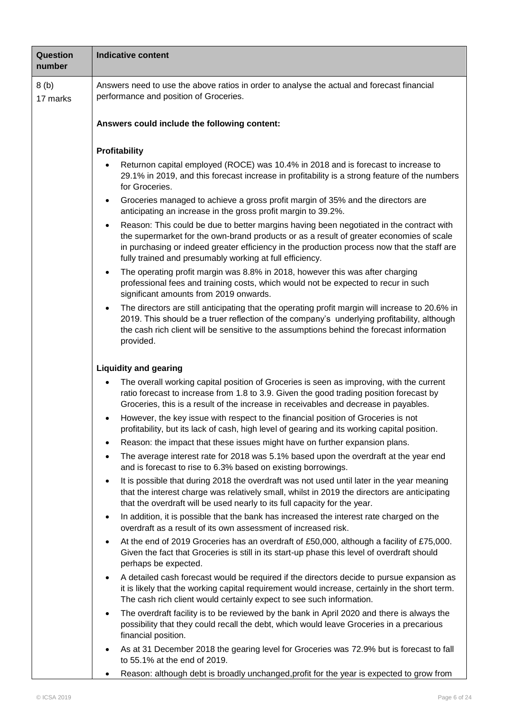| Question<br>number | <b>Indicative content</b>                                                                                                                                                                                                                                                                                                                                  |  |  |  |
|--------------------|------------------------------------------------------------------------------------------------------------------------------------------------------------------------------------------------------------------------------------------------------------------------------------------------------------------------------------------------------------|--|--|--|
| 8(b)<br>17 marks   | Answers need to use the above ratios in order to analyse the actual and forecast financial<br>performance and position of Groceries.                                                                                                                                                                                                                       |  |  |  |
|                    | Answers could include the following content:                                                                                                                                                                                                                                                                                                               |  |  |  |
|                    | Profitability<br>Returnon capital employed (ROCE) was 10.4% in 2018 and is forecast to increase to                                                                                                                                                                                                                                                         |  |  |  |
|                    | 29.1% in 2019, and this forecast increase in profitability is a strong feature of the numbers<br>for Groceries.                                                                                                                                                                                                                                            |  |  |  |
|                    | Groceries managed to achieve a gross profit margin of 35% and the directors are<br>$\bullet$<br>anticipating an increase in the gross profit margin to 39.2%.                                                                                                                                                                                              |  |  |  |
|                    | Reason: This could be due to better margins having been negotiated in the contract with<br>$\bullet$<br>the supermarket for the own-brand products or as a result of greater economies of scale<br>in purchasing or indeed greater efficiency in the production process now that the staff are<br>fully trained and presumably working at full efficiency. |  |  |  |
|                    | The operating profit margin was 8.8% in 2018, however this was after charging<br>$\bullet$<br>professional fees and training costs, which would not be expected to recur in such<br>significant amounts from 2019 onwards.                                                                                                                                 |  |  |  |
|                    | The directors are still anticipating that the operating profit margin will increase to 20.6% in<br>$\bullet$<br>2019. This should be a truer reflection of the company's underlying profitability, although<br>the cash rich client will be sensitive to the assumptions behind the forecast information<br>provided.                                      |  |  |  |
|                    | <b>Liquidity and gearing</b>                                                                                                                                                                                                                                                                                                                               |  |  |  |
|                    | The overall working capital position of Groceries is seen as improving, with the current<br>$\bullet$<br>ratio forecast to increase from 1.8 to 3.9. Given the good trading position forecast by<br>Groceries, this is a result of the increase in receivables and decrease in payables.                                                                   |  |  |  |
|                    | However, the key issue with respect to the financial position of Groceries is not<br>$\bullet$<br>profitability, but its lack of cash, high level of gearing and its working capital position.                                                                                                                                                             |  |  |  |
|                    | Reason: the impact that these issues might have on further expansion plans.<br>$\bullet$                                                                                                                                                                                                                                                                   |  |  |  |
|                    | The average interest rate for 2018 was 5.1% based upon the overdraft at the year end<br>and is forecast to rise to 6.3% based on existing borrowings.                                                                                                                                                                                                      |  |  |  |
|                    | It is possible that during 2018 the overdraft was not used until later in the year meaning<br>$\bullet$<br>that the interest charge was relatively small, whilst in 2019 the directors are anticipating<br>that the overdraft will be used nearly to its full capacity for the year.                                                                       |  |  |  |
|                    | In addition, it is possible that the bank has increased the interest rate charged on the<br>$\bullet$<br>overdraft as a result of its own assessment of increased risk.                                                                                                                                                                                    |  |  |  |
|                    | At the end of 2019 Groceries has an overdraft of £50,000, although a facility of £75,000.<br>$\bullet$<br>Given the fact that Groceries is still in its start-up phase this level of overdraft should<br>perhaps be expected.                                                                                                                              |  |  |  |
|                    | A detailed cash forecast would be required if the directors decide to pursue expansion as<br>$\bullet$<br>it is likely that the working capital requirement would increase, certainly in the short term.<br>The cash rich client would certainly expect to see such information.                                                                           |  |  |  |
|                    | The overdraft facility is to be reviewed by the bank in April 2020 and there is always the<br>$\bullet$<br>possibility that they could recall the debt, which would leave Groceries in a precarious<br>financial position.                                                                                                                                 |  |  |  |
|                    | As at 31 December 2018 the gearing level for Groceries was 72.9% but is forecast to fall<br>$\bullet$<br>to 55.1% at the end of 2019.                                                                                                                                                                                                                      |  |  |  |
|                    | Reason: although debt is broadly unchanged, profit for the year is expected to grow from<br>$\bullet$                                                                                                                                                                                                                                                      |  |  |  |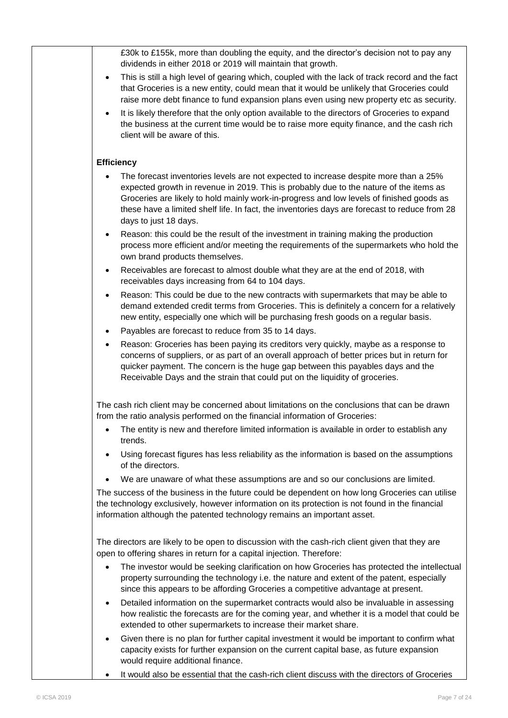| £30k to £155k, more than doubling the equity, and the director's decision not to pay any<br>dividends in either 2018 or 2019 will maintain that growth.                                                                                                                                                                                                                                              |
|------------------------------------------------------------------------------------------------------------------------------------------------------------------------------------------------------------------------------------------------------------------------------------------------------------------------------------------------------------------------------------------------------|
| This is still a high level of gearing which, coupled with the lack of track record and the fact<br>$\bullet$<br>that Groceries is a new entity, could mean that it would be unlikely that Groceries could<br>raise more debt finance to fund expansion plans even using new property etc as security.                                                                                                |
| It is likely therefore that the only option available to the directors of Groceries to expand<br>$\bullet$<br>the business at the current time would be to raise more equity finance, and the cash rich<br>client will be aware of this.                                                                                                                                                             |
| <b>Efficiency</b>                                                                                                                                                                                                                                                                                                                                                                                    |
| The forecast inventories levels are not expected to increase despite more than a 25%<br>expected growth in revenue in 2019. This is probably due to the nature of the items as<br>Groceries are likely to hold mainly work-in-progress and low levels of finished goods as<br>these have a limited shelf life. In fact, the inventories days are forecast to reduce from 28<br>days to just 18 days. |
| Reason: this could be the result of the investment in training making the production<br>process more efficient and/or meeting the requirements of the supermarkets who hold the<br>own brand products themselves.                                                                                                                                                                                    |
| Receivables are forecast to almost double what they are at the end of 2018, with<br>$\bullet$<br>receivables days increasing from 64 to 104 days.                                                                                                                                                                                                                                                    |
| Reason: This could be due to the new contracts with supermarkets that may be able to<br>demand extended credit terms from Groceries. This is definitely a concern for a relatively<br>new entity, especially one which will be purchasing fresh goods on a regular basis.                                                                                                                            |
| Payables are forecast to reduce from 35 to 14 days.<br>$\bullet$                                                                                                                                                                                                                                                                                                                                     |
| Reason: Groceries has been paying its creditors very quickly, maybe as a response to<br>٠<br>concerns of suppliers, or as part of an overall approach of better prices but in return for<br>quicker payment. The concern is the huge gap between this payables days and the<br>Receivable Days and the strain that could put on the liquidity of groceries.                                          |
| The cash rich client may be concerned about limitations on the conclusions that can be drawn<br>from the ratio analysis performed on the financial information of Groceries:                                                                                                                                                                                                                         |
| The entity is new and therefore limited information is available in order to establish any<br>trends.                                                                                                                                                                                                                                                                                                |
| Using forecast figures has less reliability as the information is based on the assumptions<br>of the directors.                                                                                                                                                                                                                                                                                      |
| We are unaware of what these assumptions are and so our conclusions are limited.                                                                                                                                                                                                                                                                                                                     |
| The success of the business in the future could be dependent on how long Groceries can utilise<br>the technology exclusively, however information on its protection is not found in the financial<br>information although the patented technology remains an important asset.                                                                                                                        |
| The directors are likely to be open to discussion with the cash-rich client given that they are<br>open to offering shares in return for a capital injection. Therefore:                                                                                                                                                                                                                             |
| The investor would be seeking clarification on how Groceries has protected the intellectual<br>property surrounding the technology i.e. the nature and extent of the patent, especially<br>since this appears to be affording Groceries a competitive advantage at present.                                                                                                                          |
| Detailed information on the supermarket contracts would also be invaluable in assessing<br>$\bullet$<br>how realistic the forecasts are for the coming year, and whether it is a model that could be<br>extended to other supermarkets to increase their market share.                                                                                                                               |
| Given there is no plan for further capital investment it would be important to confirm what<br>$\bullet$<br>capacity exists for further expansion on the current capital base, as future expansion<br>would require additional finance.                                                                                                                                                              |
| It would also be essential that the cash-rich client discuss with the directors of Groceries                                                                                                                                                                                                                                                                                                         |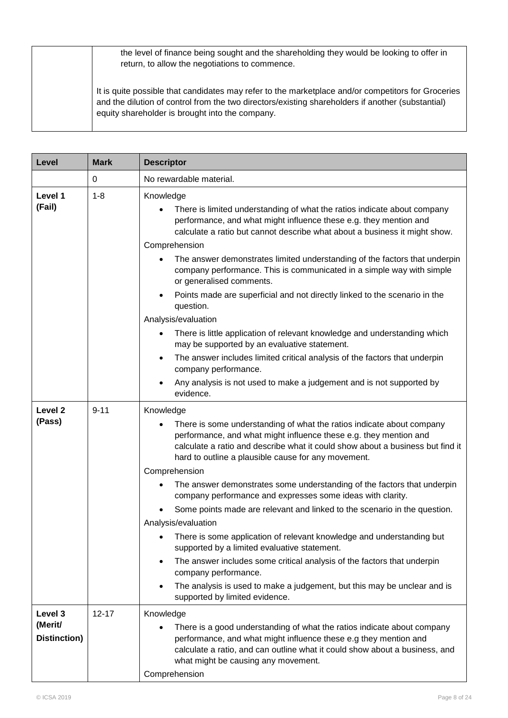| the level of finance being sought and the shareholding they would be looking to offer in<br>return, to allow the negotiations to commence.                                                                                                                 |
|------------------------------------------------------------------------------------------------------------------------------------------------------------------------------------------------------------------------------------------------------------|
| It is quite possible that candidates may refer to the marketplace and/or competitors for Groceries<br>and the dilution of control from the two directors/existing shareholders if another (substantial)<br>equity shareholder is brought into the company. |

| Level                              | <b>Mark</b> | <b>Descriptor</b>                                                                                                                                                                                                                                                                                                                       |  |
|------------------------------------|-------------|-----------------------------------------------------------------------------------------------------------------------------------------------------------------------------------------------------------------------------------------------------------------------------------------------------------------------------------------|--|
|                                    | 0           | No rewardable material.                                                                                                                                                                                                                                                                                                                 |  |
| Level 1<br>(Fail)                  | $1 - 8$     | Knowledge<br>There is limited understanding of what the ratios indicate about company<br>performance, and what might influence these e.g. they mention and<br>calculate a ratio but cannot describe what about a business it might show.<br>Comprehension<br>The answer demonstrates limited understanding of the factors that underpin |  |
|                                    |             | company performance. This is communicated in a simple way with simple<br>or generalised comments.<br>Points made are superficial and not directly linked to the scenario in the<br>question.                                                                                                                                            |  |
|                                    |             | Analysis/evaluation<br>There is little application of relevant knowledge and understanding which<br>$\bullet$<br>may be supported by an evaluative statement.                                                                                                                                                                           |  |
|                                    |             | The answer includes limited critical analysis of the factors that underpin<br>$\bullet$<br>company performance.                                                                                                                                                                                                                         |  |
|                                    |             | Any analysis is not used to make a judgement and is not supported by<br>evidence.                                                                                                                                                                                                                                                       |  |
| Level <sub>2</sub><br>(Pass)       | $9 - 11$    | Knowledge<br>There is some understanding of what the ratios indicate about company<br>performance, and what might influence these e.g. they mention and<br>calculate a ratio and describe what it could show about a business but find it<br>hard to outline a plausible cause for any movement.                                        |  |
|                                    |             | Comprehension<br>The answer demonstrates some understanding of the factors that underpin<br>company performance and expresses some ideas with clarity.                                                                                                                                                                                  |  |
|                                    |             | Some points made are relevant and linked to the scenario in the question.<br>Analysis/evaluation                                                                                                                                                                                                                                        |  |
|                                    |             | There is some application of relevant knowledge and understanding but<br>supported by a limited evaluative statement.                                                                                                                                                                                                                   |  |
|                                    |             | The answer includes some critical analysis of the factors that underpin<br>company performance.                                                                                                                                                                                                                                         |  |
|                                    |             | The analysis is used to make a judgement, but this may be unclear and is<br>supported by limited evidence.                                                                                                                                                                                                                              |  |
| Level 3<br>(Merit/<br>Distinction) | $12 - 17$   | Knowledge<br>There is a good understanding of what the ratios indicate about company<br>performance, and what might influence these e.g they mention and<br>calculate a ratio, and can outline what it could show about a business, and<br>what might be causing any movement.<br>Comprehension                                         |  |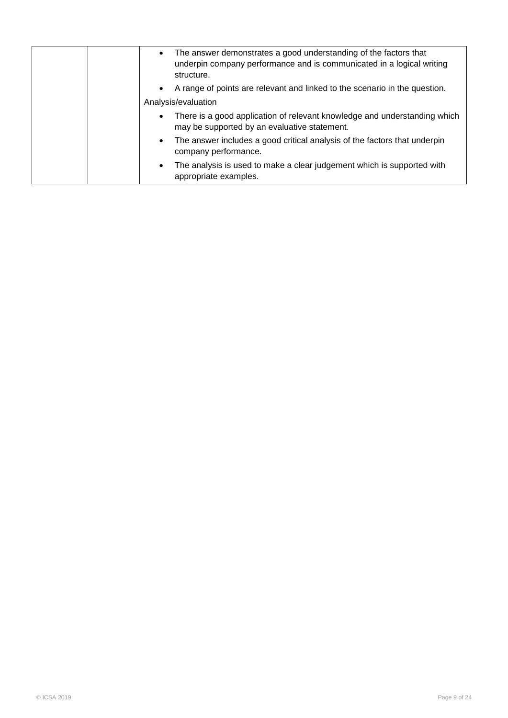| The answer demonstrates a good understanding of the factors that<br>$\bullet$<br>underpin company performance and is communicated in a logical writing<br>structure. |
|----------------------------------------------------------------------------------------------------------------------------------------------------------------------|
| A range of points are relevant and linked to the scenario in the question.<br>$\bullet$                                                                              |
| Analysis/evaluation                                                                                                                                                  |
| There is a good application of relevant knowledge and understanding which<br>$\bullet$<br>may be supported by an evaluative statement.                               |
| The answer includes a good critical analysis of the factors that underpin<br>$\bullet$<br>company performance.                                                       |
| The analysis is used to make a clear judgement which is supported with<br>$\bullet$<br>appropriate examples.                                                         |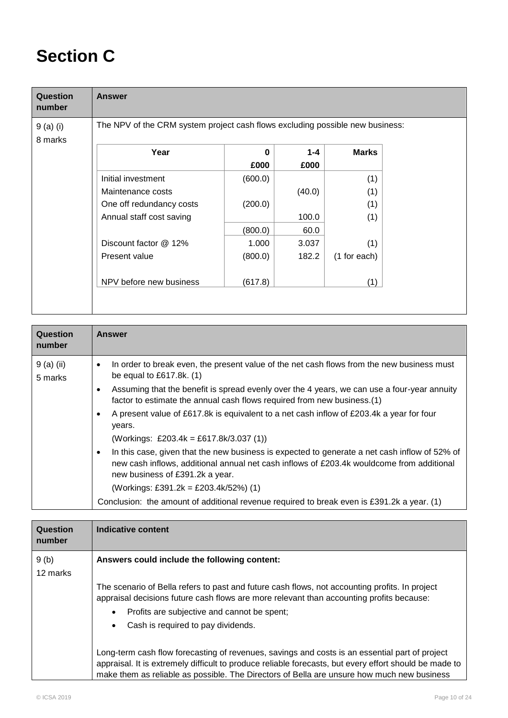## **Section C**

| Question<br>number   | <b>Answer</b>                                                                 |                  |                 |              |  |
|----------------------|-------------------------------------------------------------------------------|------------------|-----------------|--------------|--|
| 9 (a) (i)<br>8 marks | The NPV of the CRM system project cash flows excluding possible new business: |                  |                 |              |  |
|                      | Year                                                                          | $\bf{0}$<br>£000 | $1 - 4$<br>£000 | <b>Marks</b> |  |
|                      | Initial investment                                                            | (600.0)          |                 | (1)          |  |
|                      | Maintenance costs                                                             |                  | (40.0)          | (1)          |  |
|                      | One off redundancy costs                                                      | (200.0)          |                 | (1)          |  |
|                      | Annual staff cost saving                                                      |                  | 100.0           | (1)          |  |
|                      |                                                                               | (800.0)          | 60.0            |              |  |
|                      | Discount factor @ 12%                                                         | 1.000            | 3.037           | (1)          |  |
|                      | Present value                                                                 | (800.0)          | 182.2           | (1 for each) |  |
|                      | NPV before new business                                                       | (617.8)          |                 | (1)          |  |

| In order to break even, the present value of the net cash flows from the new business must<br>9 (a) (ii)<br>٠<br>be equal to $£617.8k.$ (1)<br>5 marks<br>Assuming that the benefit is spread evenly over the 4 years, we can use a four-year annuity<br>$\bullet$<br>factor to estimate the annual cash flows required from new business.(1)<br>A present value of £617.8k is equivalent to a net cash inflow of £203.4k a year for four<br>$\bullet$<br>years.<br>(Workings: £203.4k = £617.8k/3.037 (1))<br>In this case, given that the new business is expected to generate a net cash inflow of 52% of<br>$\bullet$<br>new cash inflows, additional annual net cash inflows of £203.4k wouldcome from additional<br>new business of £391.2k a year.<br>(Workings: £391.2k = £203.4k/52%) (1)<br>Conclusion: the amount of additional revenue required to break even is £391.2k a year. (1) | Question<br>number | <b>Answer</b> |
|--------------------------------------------------------------------------------------------------------------------------------------------------------------------------------------------------------------------------------------------------------------------------------------------------------------------------------------------------------------------------------------------------------------------------------------------------------------------------------------------------------------------------------------------------------------------------------------------------------------------------------------------------------------------------------------------------------------------------------------------------------------------------------------------------------------------------------------------------------------------------------------------------|--------------------|---------------|
|                                                                                                                                                                                                                                                                                                                                                                                                                                                                                                                                                                                                                                                                                                                                                                                                                                                                                                  |                    |               |

| Question<br>number | Indicative content                                                                                                                                                                                                                                                                                     |
|--------------------|--------------------------------------------------------------------------------------------------------------------------------------------------------------------------------------------------------------------------------------------------------------------------------------------------------|
| 9(b)<br>12 marks   | Answers could include the following content:                                                                                                                                                                                                                                                           |
|                    | The scenario of Bella refers to past and future cash flows, not accounting profits. In project<br>appraisal decisions future cash flows are more relevant than accounting profits because:<br>Profits are subjective and cannot be spent;<br>Cash is required to pay dividends.                        |
|                    | Long-term cash flow forecasting of revenues, savings and costs is an essential part of project<br>appraisal. It is extremely difficult to produce reliable forecasts, but every effort should be made to<br>make them as reliable as possible. The Directors of Bella are unsure how much new business |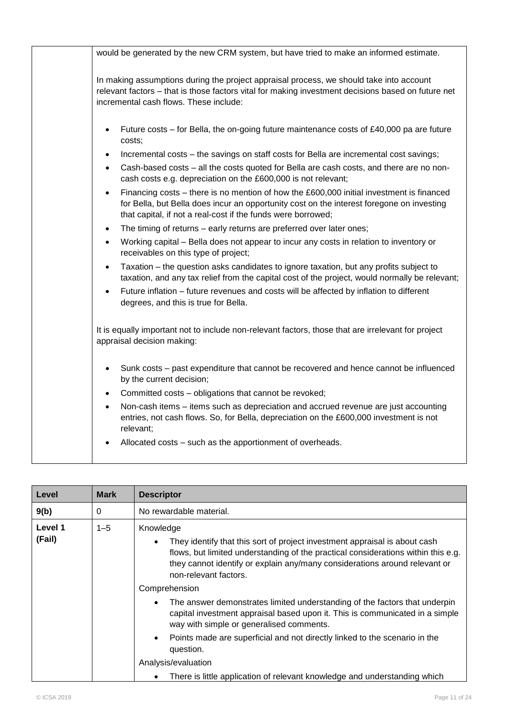| would be generated by the new CRM system, but have tried to make an informed estimate.                                                                                                                                                                |
|-------------------------------------------------------------------------------------------------------------------------------------------------------------------------------------------------------------------------------------------------------|
| In making assumptions during the project appraisal process, we should take into account<br>relevant factors - that is those factors vital for making investment decisions based on future net<br>incremental cash flows. These include:               |
| Future costs – for Bella, the on-going future maintenance costs of £40,000 pa are future<br>$\bullet$<br>costs;                                                                                                                                       |
| Incremental costs - the savings on staff costs for Bella are incremental cost savings;<br>$\bullet$                                                                                                                                                   |
| Cash-based costs - all the costs quoted for Bella are cash costs, and there are no non-<br>$\bullet$<br>cash costs e.g. depreciation on the £600,000 is not relevant;                                                                                 |
| Financing costs – there is no mention of how the £600,000 initial investment is financed<br>for Bella, but Bella does incur an opportunity cost on the interest foregone on investing<br>that capital, if not a real-cost if the funds were borrowed; |
| The timing of returns - early returns are preferred over later ones;<br>$\bullet$                                                                                                                                                                     |
| Working capital – Bella does not appear to incur any costs in relation to inventory or<br>$\bullet$<br>receivables on this type of project;                                                                                                           |
| Taxation – the question asks candidates to ignore taxation, but any profits subject to<br>taxation, and any tax relief from the capital cost of the project, would normally be relevant;                                                              |
| Future inflation – future revenues and costs will be affected by inflation to different<br>degrees, and this is true for Bella.                                                                                                                       |
| It is equally important not to include non-relevant factors, those that are irrelevant for project<br>appraisal decision making:                                                                                                                      |
| Sunk costs - past expenditure that cannot be recovered and hence cannot be influenced<br>by the current decision;                                                                                                                                     |
| Committed costs - obligations that cannot be revoked;<br>$\bullet$                                                                                                                                                                                    |
| Non-cash items - items such as depreciation and accrued revenue are just accounting<br>entries, not cash flows. So, for Bella, depreciation on the £600,000 investment is not<br>relevant;                                                            |
| Allocated costs – such as the apportionment of overheads.                                                                                                                                                                                             |

| Level             | <b>Mark</b> | <b>Descriptor</b>                                                                                                                                                                                                                                                                                                                                                                                                                                                                                                                                                                                                                                          |
|-------------------|-------------|------------------------------------------------------------------------------------------------------------------------------------------------------------------------------------------------------------------------------------------------------------------------------------------------------------------------------------------------------------------------------------------------------------------------------------------------------------------------------------------------------------------------------------------------------------------------------------------------------------------------------------------------------------|
| 9(b)              | 0           | No rewardable material.                                                                                                                                                                                                                                                                                                                                                                                                                                                                                                                                                                                                                                    |
| Level 1<br>(Fail) | $1 - 5$     | Knowledge<br>They identify that this sort of project investment appraisal is about cash<br>flows, but limited understanding of the practical considerations within this e.g.<br>they cannot identify or explain any/many considerations around relevant or<br>non-relevant factors.<br>Comprehension<br>The answer demonstrates limited understanding of the factors that underpin<br>$\bullet$<br>capital investment appraisal based upon it. This is communicated in a simple<br>way with simple or generalised comments.<br>Points made are superficial and not directly linked to the scenario in the<br>$\bullet$<br>question.<br>Analysis/evaluation |
|                   |             | There is little application of relevant knowledge and understanding which<br>$\bullet$                                                                                                                                                                                                                                                                                                                                                                                                                                                                                                                                                                     |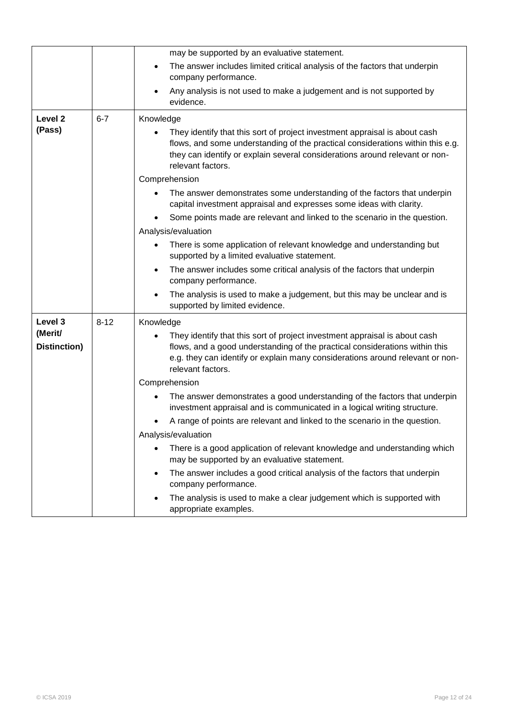|                         |          | may be supported by an evaluative statement.                                                                                                                                                                                                                     |
|-------------------------|----------|------------------------------------------------------------------------------------------------------------------------------------------------------------------------------------------------------------------------------------------------------------------|
|                         |          | The answer includes limited critical analysis of the factors that underpin<br>$\bullet$<br>company performance.                                                                                                                                                  |
|                         |          | Any analysis is not used to make a judgement and is not supported by<br>$\bullet$<br>evidence.                                                                                                                                                                   |
| Level <sub>2</sub>      | $6 - 7$  | Knowledge                                                                                                                                                                                                                                                        |
| (Pass)                  |          | They identify that this sort of project investment appraisal is about cash<br>flows, and some understanding of the practical considerations within this e.g.<br>they can identify or explain several considerations around relevant or non-<br>relevant factors. |
|                         |          | Comprehension                                                                                                                                                                                                                                                    |
|                         |          | The answer demonstrates some understanding of the factors that underpin<br>capital investment appraisal and expresses some ideas with clarity.                                                                                                                   |
|                         |          | Some points made are relevant and linked to the scenario in the question.                                                                                                                                                                                        |
|                         |          | Analysis/evaluation                                                                                                                                                                                                                                              |
|                         |          | There is some application of relevant knowledge and understanding but<br>$\bullet$<br>supported by a limited evaluative statement.                                                                                                                               |
|                         |          | The answer includes some critical analysis of the factors that underpin<br>$\bullet$<br>company performance.                                                                                                                                                     |
|                         |          | The analysis is used to make a judgement, but this may be unclear and is<br>supported by limited evidence.                                                                                                                                                       |
| Level 3                 | $8 - 12$ | Knowledge                                                                                                                                                                                                                                                        |
| (Merit/<br>Distinction) |          | They identify that this sort of project investment appraisal is about cash<br>flows, and a good understanding of the practical considerations within this<br>e.g. they can identify or explain many considerations around relevant or non-<br>relevant factors.  |
|                         |          | Comprehension                                                                                                                                                                                                                                                    |
|                         |          | The answer demonstrates a good understanding of the factors that underpin<br>investment appraisal and is communicated in a logical writing structure.                                                                                                            |
|                         |          | A range of points are relevant and linked to the scenario in the question.                                                                                                                                                                                       |
|                         |          | Analysis/evaluation                                                                                                                                                                                                                                              |
|                         |          | There is a good application of relevant knowledge and understanding which<br>$\bullet$<br>may be supported by an evaluative statement.                                                                                                                           |
|                         |          | The answer includes a good critical analysis of the factors that underpin<br>$\bullet$<br>company performance.                                                                                                                                                   |
|                         |          | The analysis is used to make a clear judgement which is supported with<br>appropriate examples.                                                                                                                                                                  |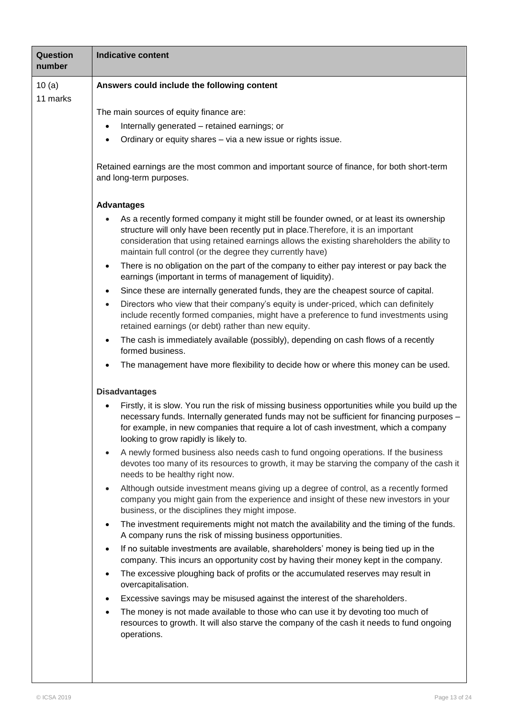| <b>Question</b><br>number | <b>Indicative content</b>                                                                                                                                                                                                                                                                                                                                                                                                                                                                                                                                                                                                                                                                                                                                                                                                                                                                                                                                                                                                                                                                                                                                                                                                                                                                                                                                                                                                                                                                                                                                                                                                                                     |
|---------------------------|---------------------------------------------------------------------------------------------------------------------------------------------------------------------------------------------------------------------------------------------------------------------------------------------------------------------------------------------------------------------------------------------------------------------------------------------------------------------------------------------------------------------------------------------------------------------------------------------------------------------------------------------------------------------------------------------------------------------------------------------------------------------------------------------------------------------------------------------------------------------------------------------------------------------------------------------------------------------------------------------------------------------------------------------------------------------------------------------------------------------------------------------------------------------------------------------------------------------------------------------------------------------------------------------------------------------------------------------------------------------------------------------------------------------------------------------------------------------------------------------------------------------------------------------------------------------------------------------------------------------------------------------------------------|
| 10 $(a)$                  | Answers could include the following content                                                                                                                                                                                                                                                                                                                                                                                                                                                                                                                                                                                                                                                                                                                                                                                                                                                                                                                                                                                                                                                                                                                                                                                                                                                                                                                                                                                                                                                                                                                                                                                                                   |
| 11 marks                  | The main sources of equity finance are:<br>Internally generated - retained earnings; or<br>$\bullet$<br>Ordinary or equity shares - via a new issue or rights issue.<br>Retained earnings are the most common and important source of finance, for both short-term<br>and long-term purposes.<br><b>Advantages</b><br>As a recently formed company it might still be founder owned, or at least its ownership<br>$\bullet$<br>structure will only have been recently put in place. Therefore, it is an important<br>consideration that using retained earnings allows the existing shareholders the ability to<br>maintain full control (or the degree they currently have)<br>There is no obligation on the part of the company to either pay interest or pay back the<br>$\bullet$<br>earnings (important in terms of management of liquidity).<br>Since these are internally generated funds, they are the cheapest source of capital.<br>$\bullet$<br>Directors who view that their company's equity is under-priced, which can definitely<br>$\bullet$<br>include recently formed companies, might have a preference to fund investments using<br>retained earnings (or debt) rather than new equity.                                                                                                                                                                                                                                                                                                                                                                                                                                                    |
|                           | The cash is immediately available (possibly), depending on cash flows of a recently<br>$\bullet$<br>formed business.<br>The management have more flexibility to decide how or where this money can be used.<br>$\bullet$                                                                                                                                                                                                                                                                                                                                                                                                                                                                                                                                                                                                                                                                                                                                                                                                                                                                                                                                                                                                                                                                                                                                                                                                                                                                                                                                                                                                                                      |
|                           | <b>Disadvantages</b><br>Firstly, it is slow. You run the risk of missing business opportunities while you build up the<br>$\bullet$<br>necessary funds. Internally generated funds may not be sufficient for financing purposes -<br>for example, in new companies that require a lot of cash investment, which a company<br>looking to grow rapidly is likely to.<br>A newly formed business also needs cash to fund ongoing operations. If the business<br>$\bullet$<br>devotes too many of its resources to growth, it may be starving the company of the cash it<br>needs to be healthy right now.<br>Although outside investment means giving up a degree of control, as a recently formed<br>$\bullet$<br>company you might gain from the experience and insight of these new investors in your<br>business, or the disciplines they might impose.<br>The investment requirements might not match the availability and the timing of the funds.<br>$\bullet$<br>A company runs the risk of missing business opportunities.<br>If no suitable investments are available, shareholders' money is being tied up in the<br>$\bullet$<br>company. This incurs an opportunity cost by having their money kept in the company.<br>The excessive ploughing back of profits or the accumulated reserves may result in<br>$\bullet$<br>overcapitalisation.<br>Excessive savings may be misused against the interest of the shareholders.<br>$\bullet$<br>The money is not made available to those who can use it by devoting too much of<br>$\bullet$<br>resources to growth. It will also starve the company of the cash it needs to fund ongoing<br>operations. |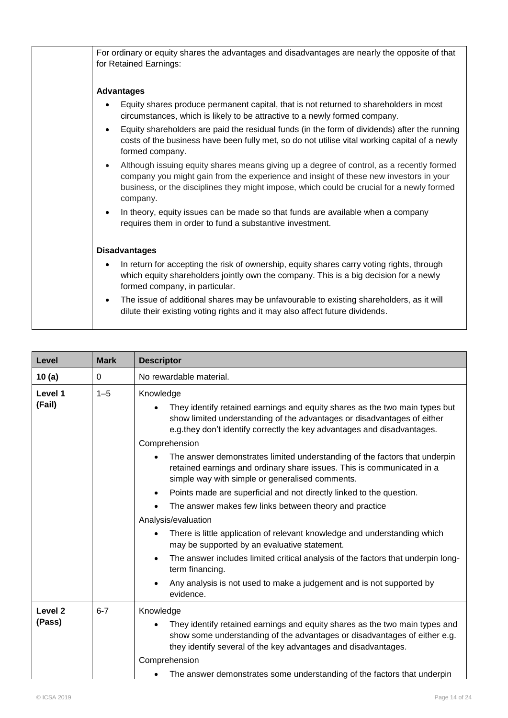| For ordinary or equity shares the advantages and disadvantages are nearly the opposite of that<br>for Retained Earnings:                                                                                                                                                                                |
|---------------------------------------------------------------------------------------------------------------------------------------------------------------------------------------------------------------------------------------------------------------------------------------------------------|
| <b>Advantages</b>                                                                                                                                                                                                                                                                                       |
| Equity shares produce permanent capital, that is not returned to shareholders in most<br>$\bullet$<br>circumstances, which is likely to be attractive to a newly formed company.                                                                                                                        |
| Equity shareholders are paid the residual funds (in the form of dividends) after the running<br>$\bullet$<br>costs of the business have been fully met, so do not utilise vital working capital of a newly<br>formed company.                                                                           |
| Although issuing equity shares means giving up a degree of control, as a recently formed<br>$\bullet$<br>company you might gain from the experience and insight of these new investors in your<br>business, or the disciplines they might impose, which could be crucial for a newly formed<br>company. |
| In theory, equity issues can be made so that funds are available when a company<br>requires them in order to fund a substantive investment.                                                                                                                                                             |
| <b>Disadvantages</b>                                                                                                                                                                                                                                                                                    |
| In return for accepting the risk of ownership, equity shares carry voting rights, through<br>$\bullet$<br>which equity shareholders jointly own the company. This is a big decision for a newly<br>formed company, in particular.                                                                       |
| The issue of additional shares may be unfavourable to existing shareholders, as it will<br>$\bullet$<br>dilute their existing voting rights and it may also affect future dividends.                                                                                                                    |

| Level                        | <b>Mark</b> | <b>Descriptor</b>                                                                                                                                                                                                                                                                                                                                                                                                                                                                                                                                                                                                                                                                                  |
|------------------------------|-------------|----------------------------------------------------------------------------------------------------------------------------------------------------------------------------------------------------------------------------------------------------------------------------------------------------------------------------------------------------------------------------------------------------------------------------------------------------------------------------------------------------------------------------------------------------------------------------------------------------------------------------------------------------------------------------------------------------|
| 10(a)                        | 0           | No rewardable material.                                                                                                                                                                                                                                                                                                                                                                                                                                                                                                                                                                                                                                                                            |
| Level 1<br>(Fail)            | $1 - 5$     | Knowledge<br>They identify retained earnings and equity shares as the two main types but<br>show limited understanding of the advantages or disadvantages of either<br>e.g.they don't identify correctly the key advantages and disadvantages.                                                                                                                                                                                                                                                                                                                                                                                                                                                     |
|                              |             | Comprehension<br>The answer demonstrates limited understanding of the factors that underpin<br>retained earnings and ordinary share issues. This is communicated in a<br>simple way with simple or generalised comments.<br>Points made are superficial and not directly linked to the question.<br>٠<br>The answer makes few links between theory and practice<br>Analysis/evaluation<br>There is little application of relevant knowledge and understanding which<br>may be supported by an evaluative statement.<br>The answer includes limited critical analysis of the factors that underpin long-<br>term financing.<br>Any analysis is not used to make a judgement and is not supported by |
|                              |             | evidence.                                                                                                                                                                                                                                                                                                                                                                                                                                                                                                                                                                                                                                                                                          |
| Level <sub>2</sub><br>(Pass) | $6 - 7$     | Knowledge<br>They identify retained earnings and equity shares as the two main types and<br>show some understanding of the advantages or disadvantages of either e.g.<br>they identify several of the key advantages and disadvantages.<br>Comprehension                                                                                                                                                                                                                                                                                                                                                                                                                                           |
|                              |             | The answer demonstrates some understanding of the factors that underpin                                                                                                                                                                                                                                                                                                                                                                                                                                                                                                                                                                                                                            |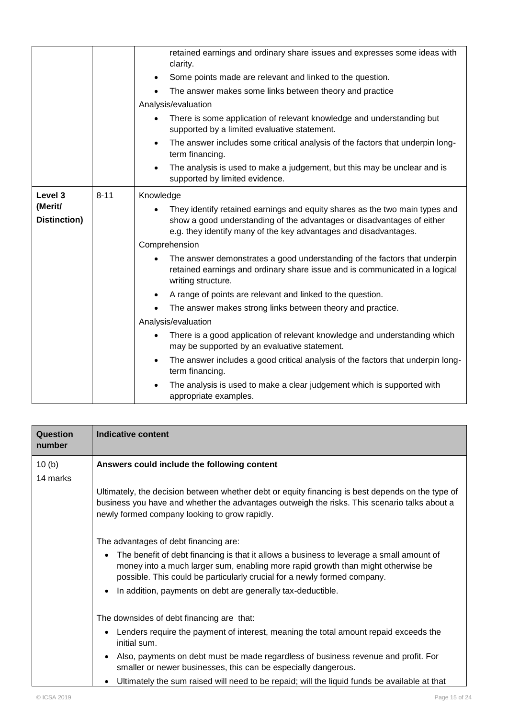|              |          | retained earnings and ordinary share issues and expresses some ideas with<br>clarity.                                                                                          |
|--------------|----------|--------------------------------------------------------------------------------------------------------------------------------------------------------------------------------|
|              |          | Some points made are relevant and linked to the question.<br>$\bullet$                                                                                                         |
|              |          | The answer makes some links between theory and practice                                                                                                                        |
|              |          | Analysis/evaluation                                                                                                                                                            |
|              |          | There is some application of relevant knowledge and understanding but<br>$\bullet$<br>supported by a limited evaluative statement.                                             |
|              |          | The answer includes some critical analysis of the factors that underpin long-<br>$\bullet$<br>term financing.                                                                  |
|              |          | The analysis is used to make a judgement, but this may be unclear and is<br>$\bullet$<br>supported by limited evidence.                                                        |
| Level 3      | $8 - 11$ | Knowledge                                                                                                                                                                      |
| (Merit/      |          | They identify retained earnings and equity shares as the two main types and                                                                                                    |
| Distinction) |          | show a good understanding of the advantages or disadvantages of either<br>e.g. they identify many of the key advantages and disadvantages.                                     |
|              |          | Comprehension                                                                                                                                                                  |
|              |          | The answer demonstrates a good understanding of the factors that underpin<br>retained earnings and ordinary share issue and is communicated in a logical<br>writing structure. |
|              |          | A range of points are relevant and linked to the question.<br>$\bullet$                                                                                                        |
|              |          | The answer makes strong links between theory and practice.                                                                                                                     |
|              |          | Analysis/evaluation                                                                                                                                                            |
|              |          | There is a good application of relevant knowledge and understanding which<br>٠<br>may be supported by an evaluative statement.                                                 |
|              |          | The answer includes a good critical analysis of the factors that underpin long-<br>$\bullet$<br>term financing.                                                                |
|              |          | The analysis is used to make a clear judgement which is supported with<br>$\bullet$<br>appropriate examples.                                                                   |

| Question<br>number | <b>Indicative content</b>                                                                                                                                                                                                                                             |
|--------------------|-----------------------------------------------------------------------------------------------------------------------------------------------------------------------------------------------------------------------------------------------------------------------|
| 10(b)              | Answers could include the following content                                                                                                                                                                                                                           |
| 14 marks           |                                                                                                                                                                                                                                                                       |
|                    | Ultimately, the decision between whether debt or equity financing is best depends on the type of<br>business you have and whether the advantages outweigh the risks. This scenario talks about a<br>newly formed company looking to grow rapidly.                     |
|                    | The advantages of debt financing are:                                                                                                                                                                                                                                 |
|                    | The benefit of debt financing is that it allows a business to leverage a small amount of<br>$\bullet$<br>money into a much larger sum, enabling more rapid growth than might otherwise be<br>possible. This could be particularly crucial for a newly formed company. |
|                    | In addition, payments on debt are generally tax-deductible.                                                                                                                                                                                                           |
|                    | The downsides of debt financing are that:                                                                                                                                                                                                                             |
|                    | Lenders require the payment of interest, meaning the total amount repaid exceeds the<br>$\bullet$<br>initial sum.                                                                                                                                                     |
|                    | Also, payments on debt must be made regardless of business revenue and profit. For<br>$\bullet$<br>smaller or newer businesses, this can be especially dangerous.                                                                                                     |
|                    | Ultimately the sum raised will need to be repaid; will the liquid funds be available at that                                                                                                                                                                          |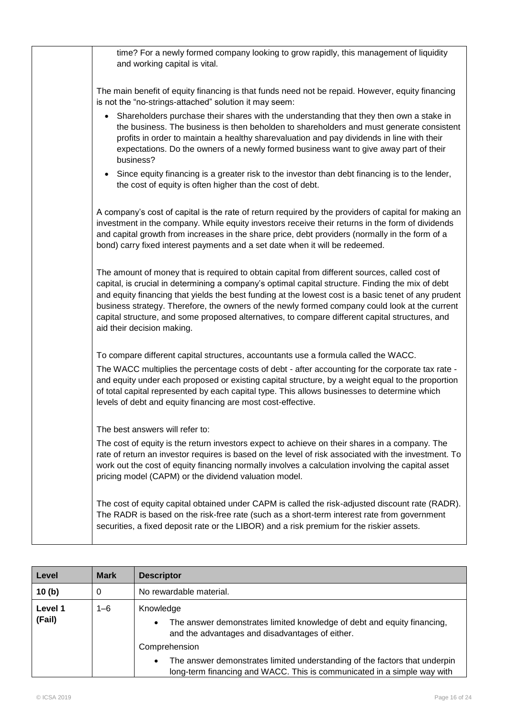| time? For a newly formed company looking to grow rapidly, this management of liquidity<br>and working capital is vital.                                                                                                                                                                                                                                                                                                                                                                                                                       |
|-----------------------------------------------------------------------------------------------------------------------------------------------------------------------------------------------------------------------------------------------------------------------------------------------------------------------------------------------------------------------------------------------------------------------------------------------------------------------------------------------------------------------------------------------|
| The main benefit of equity financing is that funds need not be repaid. However, equity financing<br>is not the "no-strings-attached" solution it may seem:                                                                                                                                                                                                                                                                                                                                                                                    |
| Shareholders purchase their shares with the understanding that they then own a stake in<br>$\bullet$<br>the business. The business is then beholden to shareholders and must generate consistent<br>profits in order to maintain a healthy sharevaluation and pay dividends in line with their<br>expectations. Do the owners of a newly formed business want to give away part of their<br>business?                                                                                                                                         |
| Since equity financing is a greater risk to the investor than debt financing is to the lender,<br>$\bullet$<br>the cost of equity is often higher than the cost of debt.                                                                                                                                                                                                                                                                                                                                                                      |
| A company's cost of capital is the rate of return required by the providers of capital for making an<br>investment in the company. While equity investors receive their returns in the form of dividends<br>and capital growth from increases in the share price, debt providers (normally in the form of a<br>bond) carry fixed interest payments and a set date when it will be redeemed.                                                                                                                                                   |
| The amount of money that is required to obtain capital from different sources, called cost of<br>capital, is crucial in determining a company's optimal capital structure. Finding the mix of debt<br>and equity financing that yields the best funding at the lowest cost is a basic tenet of any prudent<br>business strategy. Therefore, the owners of the newly formed company could look at the current<br>capital structure, and some proposed alternatives, to compare different capital structures, and<br>aid their decision making. |
| To compare different capital structures, accountants use a formula called the WACC.                                                                                                                                                                                                                                                                                                                                                                                                                                                           |
| The WACC multiplies the percentage costs of debt - after accounting for the corporate tax rate -<br>and equity under each proposed or existing capital structure, by a weight equal to the proportion<br>of total capital represented by each capital type. This allows businesses to determine which<br>levels of debt and equity financing are most cost-effective.                                                                                                                                                                         |
| The best answers will refer to:                                                                                                                                                                                                                                                                                                                                                                                                                                                                                                               |
| The cost of equity is the return investors expect to achieve on their shares in a company. The<br>rate of return an investor requires is based on the level of risk associated with the investment. To<br>work out the cost of equity financing normally involves a calculation involving the capital asset<br>pricing model (CAPM) or the dividend valuation model.                                                                                                                                                                          |
| The cost of equity capital obtained under CAPM is called the risk-adjusted discount rate (RADR).<br>The RADR is based on the risk-free rate (such as a short-term interest rate from government<br>securities, a fixed deposit rate or the LIBOR) and a risk premium for the riskier assets.                                                                                                                                                                                                                                                  |

| Level             | <b>Mark</b> | <b>Descriptor</b>                                                                                                                                                  |  |
|-------------------|-------------|--------------------------------------------------------------------------------------------------------------------------------------------------------------------|--|
| 10(b)             | 0           | No rewardable material.                                                                                                                                            |  |
| Level 1<br>(Fail) | $1 - 6$     | Knowledge<br>The answer demonstrates limited knowledge of debt and equity financing,<br>$\bullet$<br>and the advantages and disadvantages of either.               |  |
|                   |             | Comprehension                                                                                                                                                      |  |
|                   |             | The answer demonstrates limited understanding of the factors that underpin<br>$\bullet$<br>long-term financing and WACC. This is communicated in a simple way with |  |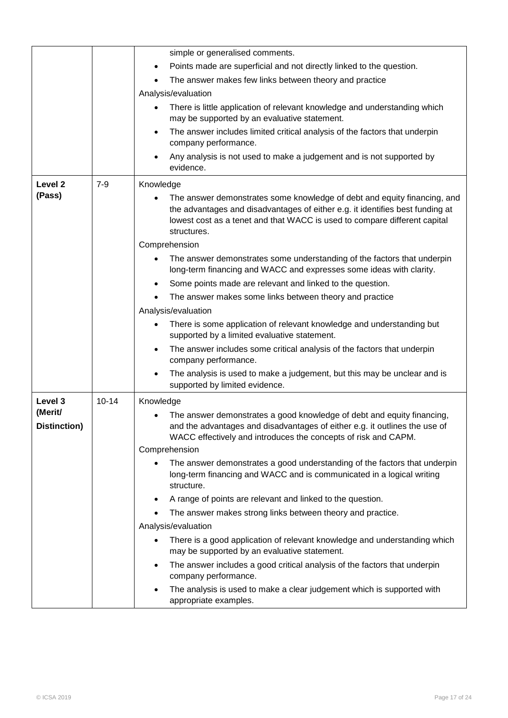|                         |           | simple or generalised comments.                                                                                                                                                                                                                       |  |  |
|-------------------------|-----------|-------------------------------------------------------------------------------------------------------------------------------------------------------------------------------------------------------------------------------------------------------|--|--|
|                         |           | Points made are superficial and not directly linked to the question.<br>٠                                                                                                                                                                             |  |  |
|                         |           | The answer makes few links between theory and practice                                                                                                                                                                                                |  |  |
|                         |           | Analysis/evaluation                                                                                                                                                                                                                                   |  |  |
|                         |           | There is little application of relevant knowledge and understanding which<br>$\bullet$<br>may be supported by an evaluative statement.                                                                                                                |  |  |
|                         |           | The answer includes limited critical analysis of the factors that underpin<br>$\bullet$<br>company performance.                                                                                                                                       |  |  |
|                         |           | Any analysis is not used to make a judgement and is not supported by<br>evidence.                                                                                                                                                                     |  |  |
| Level <sub>2</sub>      | $7 - 9$   | Knowledge                                                                                                                                                                                                                                             |  |  |
| (Pass)                  |           | The answer demonstrates some knowledge of debt and equity financing, and<br>the advantages and disadvantages of either e.g. it identifies best funding at<br>lowest cost as a tenet and that WACC is used to compare different capital<br>structures. |  |  |
|                         |           | Comprehension                                                                                                                                                                                                                                         |  |  |
|                         |           | The answer demonstrates some understanding of the factors that underpin<br>long-term financing and WACC and expresses some ideas with clarity.                                                                                                        |  |  |
|                         |           | Some points made are relevant and linked to the question.<br>٠                                                                                                                                                                                        |  |  |
|                         |           | The answer makes some links between theory and practice                                                                                                                                                                                               |  |  |
|                         |           | Analysis/evaluation                                                                                                                                                                                                                                   |  |  |
|                         |           | There is some application of relevant knowledge and understanding but<br>supported by a limited evaluative statement.                                                                                                                                 |  |  |
|                         |           | The answer includes some critical analysis of the factors that underpin<br>$\bullet$<br>company performance.                                                                                                                                          |  |  |
|                         |           | The analysis is used to make a judgement, but this may be unclear and is<br>$\bullet$<br>supported by limited evidence.                                                                                                                               |  |  |
| Level 3                 | $10 - 14$ | Knowledge                                                                                                                                                                                                                                             |  |  |
| (Merit/<br>Distinction) |           | The answer demonstrates a good knowledge of debt and equity financing,<br>and the advantages and disadvantages of either e.g. it outlines the use of<br>WACC effectively and introduces the concepts of risk and CAPM.                                |  |  |
|                         |           | Comprehension                                                                                                                                                                                                                                         |  |  |
|                         |           | The answer demonstrates a good understanding of the factors that underpin<br>long-term financing and WACC and is communicated in a logical writing<br>structure.                                                                                      |  |  |
|                         |           | A range of points are relevant and linked to the question.<br>٠                                                                                                                                                                                       |  |  |
|                         |           | The answer makes strong links between theory and practice.<br>$\bullet$                                                                                                                                                                               |  |  |
|                         |           | Analysis/evaluation                                                                                                                                                                                                                                   |  |  |
|                         |           | There is a good application of relevant knowledge and understanding which<br>$\bullet$<br>may be supported by an evaluative statement.                                                                                                                |  |  |
|                         |           | The answer includes a good critical analysis of the factors that underpin<br>$\bullet$<br>company performance.                                                                                                                                        |  |  |
|                         |           | The analysis is used to make a clear judgement which is supported with<br>$\bullet$<br>appropriate examples.                                                                                                                                          |  |  |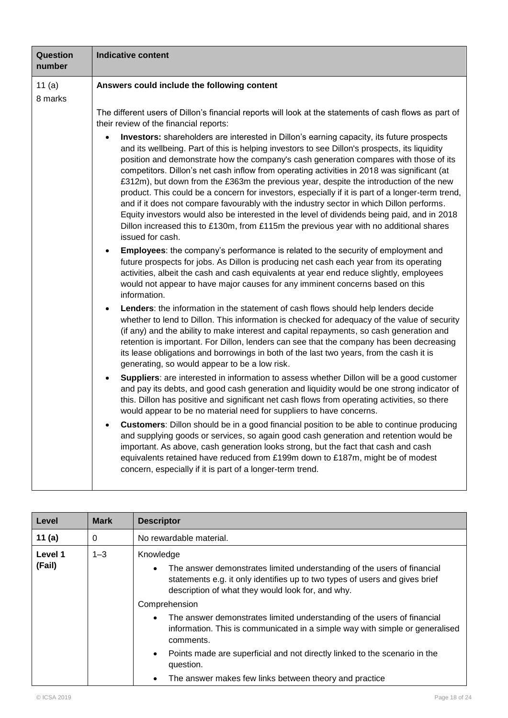| Question<br>number | <b>Indicative content</b>                                                                                                                                                                                                                                                                                                                                                                                                                                                                                                                                                                                                                                                                                                                                                                                                                                                                 |
|--------------------|-------------------------------------------------------------------------------------------------------------------------------------------------------------------------------------------------------------------------------------------------------------------------------------------------------------------------------------------------------------------------------------------------------------------------------------------------------------------------------------------------------------------------------------------------------------------------------------------------------------------------------------------------------------------------------------------------------------------------------------------------------------------------------------------------------------------------------------------------------------------------------------------|
| 11(a)              | Answers could include the following content                                                                                                                                                                                                                                                                                                                                                                                                                                                                                                                                                                                                                                                                                                                                                                                                                                               |
| 8 marks            |                                                                                                                                                                                                                                                                                                                                                                                                                                                                                                                                                                                                                                                                                                                                                                                                                                                                                           |
|                    | The different users of Dillon's financial reports will look at the statements of cash flows as part of<br>their review of the financial reports:                                                                                                                                                                                                                                                                                                                                                                                                                                                                                                                                                                                                                                                                                                                                          |
|                    | Investors: shareholders are interested in Dillon's earning capacity, its future prospects<br>and its wellbeing. Part of this is helping investors to see Dillon's prospects, its liquidity<br>position and demonstrate how the company's cash generation compares with those of its<br>competitors. Dillon's net cash inflow from operating activities in 2018 was significant (at<br>£312m), but down from the £363m the previous year, despite the introduction of the new<br>product. This could be a concern for investors, especially if it is part of a longer-term trend,<br>and if it does not compare favourably with the industry sector in which Dillon performs.<br>Equity investors would also be interested in the level of dividends being paid, and in 2018<br>Dillon increased this to £130m, from £115m the previous year with no additional shares<br>issued for cash. |
|                    | Employees: the company's performance is related to the security of employment and<br>future prospects for jobs. As Dillon is producing net cash each year from its operating<br>activities, albeit the cash and cash equivalents at year end reduce slightly, employees<br>would not appear to have major causes for any imminent concerns based on this<br>information.                                                                                                                                                                                                                                                                                                                                                                                                                                                                                                                  |
|                    | Lenders: the information in the statement of cash flows should help lenders decide<br>$\bullet$<br>whether to lend to Dillon. This information is checked for adequacy of the value of security<br>(if any) and the ability to make interest and capital repayments, so cash generation and<br>retention is important. For Dillon, lenders can see that the company has been decreasing<br>its lease obligations and borrowings in both of the last two years, from the cash it is<br>generating, so would appear to be a low risk.                                                                                                                                                                                                                                                                                                                                                       |
|                    | Suppliers: are interested in information to assess whether Dillon will be a good customer<br>and pay its debts, and good cash generation and liquidity would be one strong indicator of<br>this. Dillon has positive and significant net cash flows from operating activities, so there<br>would appear to be no material need for suppliers to have concerns.                                                                                                                                                                                                                                                                                                                                                                                                                                                                                                                            |
|                    | Customers: Dillon should be in a good financial position to be able to continue producing<br>and supplying goods or services, so again good cash generation and retention would be<br>important. As above, cash generation looks strong, but the fact that cash and cash<br>equivalents retained have reduced from £199m down to £187m, might be of modest<br>concern, especially if it is part of a longer-term trend.                                                                                                                                                                                                                                                                                                                                                                                                                                                                   |

| Level             | <b>Mark</b> | <b>Descriptor</b>                                                                                                                                                                                                                                                                                                                                                                                                                                                                                                         |  |  |
|-------------------|-------------|---------------------------------------------------------------------------------------------------------------------------------------------------------------------------------------------------------------------------------------------------------------------------------------------------------------------------------------------------------------------------------------------------------------------------------------------------------------------------------------------------------------------------|--|--|
| 11 $(a)$          | 0           | No rewardable material.                                                                                                                                                                                                                                                                                                                                                                                                                                                                                                   |  |  |
| Level 1<br>(Fail) | $1 - 3$     | Knowledge<br>The answer demonstrates limited understanding of the users of financial<br>$\bullet$<br>statements e.g. it only identifies up to two types of users and gives brief<br>description of what they would look for, and why.<br>Comprehension<br>The answer demonstrates limited understanding of the users of financial<br>information. This is communicated in a simple way with simple or generalised<br>comments.<br>Points made are superficial and not directly linked to the scenario in the<br>$\bullet$ |  |  |
|                   |             | question.<br>The answer makes few links between theory and practice<br>$\bullet$                                                                                                                                                                                                                                                                                                                                                                                                                                          |  |  |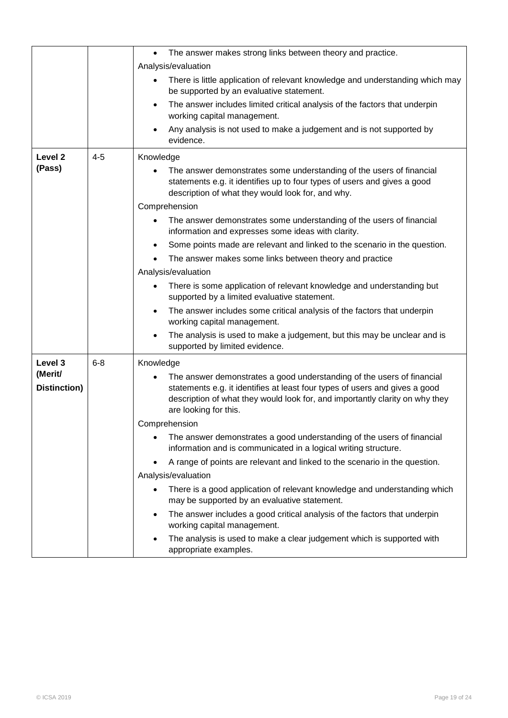|                         |                      | The answer makes strong links between theory and practice.<br>$\bullet$                                                                                                                                                                                        |
|-------------------------|----------------------|----------------------------------------------------------------------------------------------------------------------------------------------------------------------------------------------------------------------------------------------------------------|
|                         |                      | Analysis/evaluation                                                                                                                                                                                                                                            |
|                         |                      | There is little application of relevant knowledge and understanding which may<br>be supported by an evaluative statement.                                                                                                                                      |
|                         |                      | The answer includes limited critical analysis of the factors that underpin<br>$\bullet$<br>working capital management.                                                                                                                                         |
|                         |                      | Any analysis is not used to make a judgement and is not supported by<br>$\bullet$<br>evidence.                                                                                                                                                                 |
| Level <sub>2</sub>      | $4 - 5$              | Knowledge                                                                                                                                                                                                                                                      |
| (Pass)                  |                      | The answer demonstrates some understanding of the users of financial<br>statements e.g. it identifies up to four types of users and gives a good<br>description of what they would look for, and why.                                                          |
|                         |                      | Comprehension                                                                                                                                                                                                                                                  |
|                         |                      | The answer demonstrates some understanding of the users of financial<br>information and expresses some ideas with clarity.                                                                                                                                     |
|                         |                      | Some points made are relevant and linked to the scenario in the question.                                                                                                                                                                                      |
|                         |                      | The answer makes some links between theory and practice                                                                                                                                                                                                        |
|                         |                      | Analysis/evaluation                                                                                                                                                                                                                                            |
|                         |                      | There is some application of relevant knowledge and understanding but<br>supported by a limited evaluative statement.                                                                                                                                          |
|                         |                      | The answer includes some critical analysis of the factors that underpin<br>$\bullet$<br>working capital management.                                                                                                                                            |
|                         |                      | The analysis is used to make a judgement, but this may be unclear and is<br>supported by limited evidence.                                                                                                                                                     |
| Level 3                 | $6 - 8$<br>Knowledge |                                                                                                                                                                                                                                                                |
| (Merit/<br>Distinction) |                      | The answer demonstrates a good understanding of the users of financial<br>statements e.g. it identifies at least four types of users and gives a good<br>description of what they would look for, and importantly clarity on why they<br>are looking for this. |
|                         |                      | Comprehension                                                                                                                                                                                                                                                  |
|                         |                      | The answer demonstrates a good understanding of the users of financial<br>information and is communicated in a logical writing structure.                                                                                                                      |
|                         |                      | A range of points are relevant and linked to the scenario in the question.<br>٠                                                                                                                                                                                |
|                         |                      | Analysis/evaluation                                                                                                                                                                                                                                            |
|                         |                      | There is a good application of relevant knowledge and understanding which<br>may be supported by an evaluative statement.                                                                                                                                      |
|                         |                      | The answer includes a good critical analysis of the factors that underpin<br>٠<br>working capital management.                                                                                                                                                  |
|                         |                      | The analysis is used to make a clear judgement which is supported with<br>appropriate examples.                                                                                                                                                                |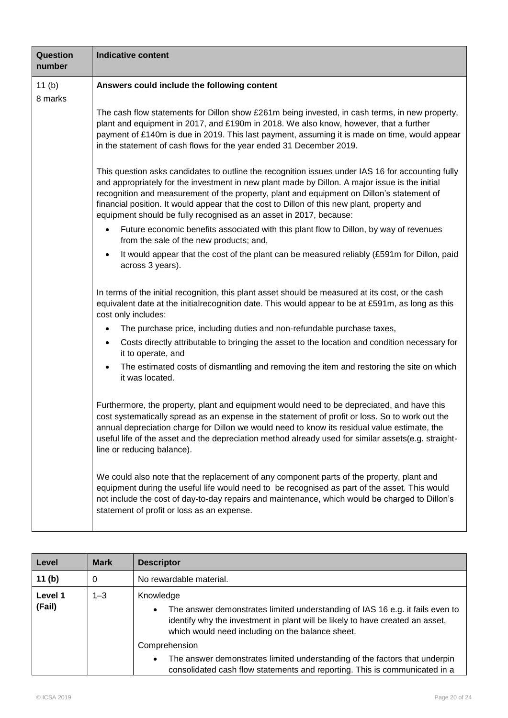| Question<br>number  | <b>Indicative content</b>                                                                                                                                                                                                                                                                                                                                                                                                                                             |
|---------------------|-----------------------------------------------------------------------------------------------------------------------------------------------------------------------------------------------------------------------------------------------------------------------------------------------------------------------------------------------------------------------------------------------------------------------------------------------------------------------|
| 11 $(b)$<br>8 marks | Answers could include the following content                                                                                                                                                                                                                                                                                                                                                                                                                           |
|                     | The cash flow statements for Dillon show £261m being invested, in cash terms, in new property,<br>plant and equipment in 2017, and £190m in 2018. We also know, however, that a further<br>payment of £140m is due in 2019. This last payment, assuming it is made on time, would appear<br>in the statement of cash flows for the year ended 31 December 2019.                                                                                                       |
|                     | This question asks candidates to outline the recognition issues under IAS 16 for accounting fully<br>and appropriately for the investment in new plant made by Dillon. A major issue is the initial<br>recognition and measurement of the property, plant and equipment on Dillon's statement of<br>financial position. It would appear that the cost to Dillon of this new plant, property and<br>equipment should be fully recognised as an asset in 2017, because: |
|                     | Future economic benefits associated with this plant flow to Dillon, by way of revenues<br>$\bullet$<br>from the sale of the new products; and,                                                                                                                                                                                                                                                                                                                        |
|                     | It would appear that the cost of the plant can be measured reliably (£591m for Dillon, paid<br>$\bullet$<br>across 3 years).                                                                                                                                                                                                                                                                                                                                          |
|                     | In terms of the initial recognition, this plant asset should be measured at its cost, or the cash<br>equivalent date at the initial recognition date. This would appear to be at £591m, as long as this<br>cost only includes:                                                                                                                                                                                                                                        |
|                     | The purchase price, including duties and non-refundable purchase taxes,                                                                                                                                                                                                                                                                                                                                                                                               |
|                     | Costs directly attributable to bringing the asset to the location and condition necessary for<br>$\bullet$<br>it to operate, and                                                                                                                                                                                                                                                                                                                                      |
|                     | The estimated costs of dismantling and removing the item and restoring the site on which<br>$\bullet$<br>it was located.                                                                                                                                                                                                                                                                                                                                              |
|                     | Furthermore, the property, plant and equipment would need to be depreciated, and have this<br>cost systematically spread as an expense in the statement of profit or loss. So to work out the<br>annual depreciation charge for Dillon we would need to know its residual value estimate, the<br>useful life of the asset and the depreciation method already used for similar assets(e.g. straight-<br>line or reducing balance).                                    |
|                     | We could also note that the replacement of any component parts of the property, plant and<br>equipment during the useful life would need to be recognised as part of the asset. This would<br>not include the cost of day-to-day repairs and maintenance, which would be charged to Dillon's<br>statement of profit or loss as an expense.                                                                                                                            |

| Level             | <b>Mark</b> | <b>Descriptor</b>                                                                                                                                                                                                                            |  |
|-------------------|-------------|----------------------------------------------------------------------------------------------------------------------------------------------------------------------------------------------------------------------------------------------|--|
| 11 $(b)$          | 0           | No rewardable material.                                                                                                                                                                                                                      |  |
| Level 1<br>(Fail) | $1 - 3$     | Knowledge<br>The answer demonstrates limited understanding of IAS 16 e.g. it fails even to<br>$\bullet$<br>identify why the investment in plant will be likely to have created an asset,<br>which would need including on the balance sheet. |  |
|                   |             | Comprehension<br>The answer demonstrates limited understanding of the factors that underpin<br>$\bullet$<br>consolidated cash flow statements and reporting. This is communicated in a                                                       |  |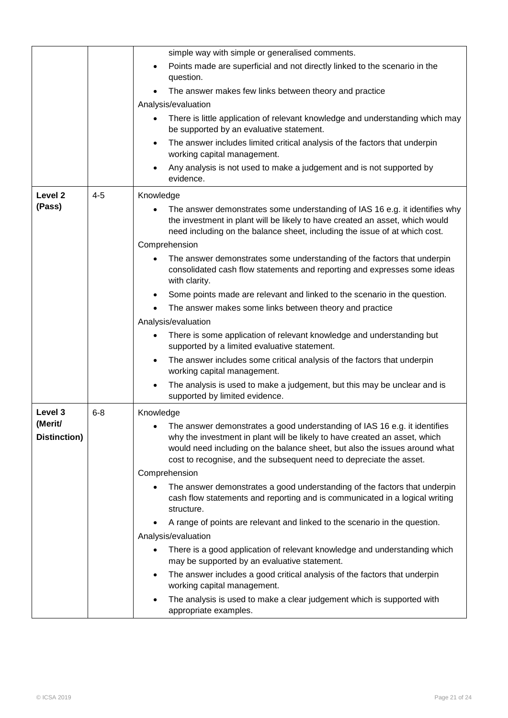|                         |         | simple way with simple or generalised comments.                                                                                                                                                                                                                                                                |
|-------------------------|---------|----------------------------------------------------------------------------------------------------------------------------------------------------------------------------------------------------------------------------------------------------------------------------------------------------------------|
|                         |         | Points made are superficial and not directly linked to the scenario in the<br>question.                                                                                                                                                                                                                        |
|                         |         | The answer makes few links between theory and practice                                                                                                                                                                                                                                                         |
|                         |         | Analysis/evaluation                                                                                                                                                                                                                                                                                            |
|                         |         | There is little application of relevant knowledge and understanding which may<br>be supported by an evaluative statement.                                                                                                                                                                                      |
|                         |         | The answer includes limited critical analysis of the factors that underpin<br>working capital management.                                                                                                                                                                                                      |
|                         |         | Any analysis is not used to make a judgement and is not supported by<br>evidence.                                                                                                                                                                                                                              |
| Level <sub>2</sub>      | $4 - 5$ | Knowledge                                                                                                                                                                                                                                                                                                      |
| (Pass)                  |         | The answer demonstrates some understanding of IAS 16 e.g. it identifies why<br>the investment in plant will be likely to have created an asset, which would<br>need including on the balance sheet, including the issue of at which cost.                                                                      |
|                         |         | Comprehension                                                                                                                                                                                                                                                                                                  |
|                         |         | The answer demonstrates some understanding of the factors that underpin<br>consolidated cash flow statements and reporting and expresses some ideas<br>with clarity.                                                                                                                                           |
|                         |         | Some points made are relevant and linked to the scenario in the question.                                                                                                                                                                                                                                      |
|                         |         | The answer makes some links between theory and practice                                                                                                                                                                                                                                                        |
|                         |         | Analysis/evaluation                                                                                                                                                                                                                                                                                            |
|                         |         | There is some application of relevant knowledge and understanding but<br>supported by a limited evaluative statement.                                                                                                                                                                                          |
|                         |         | The answer includes some critical analysis of the factors that underpin<br>working capital management.                                                                                                                                                                                                         |
|                         |         | The analysis is used to make a judgement, but this may be unclear and is<br>supported by limited evidence.                                                                                                                                                                                                     |
| Level 3                 | $6 - 8$ | Knowledge                                                                                                                                                                                                                                                                                                      |
| (Merit/<br>Distinction) |         | • The answer demonstrates a good understanding of IAS 16 e.g. it identifies<br>why the investment in plant will be likely to have created an asset, which<br>would need including on the balance sheet, but also the issues around what<br>cost to recognise, and the subsequent need to depreciate the asset. |
|                         |         | Comprehension                                                                                                                                                                                                                                                                                                  |
|                         |         | The answer demonstrates a good understanding of the factors that underpin<br>cash flow statements and reporting and is communicated in a logical writing<br>structure.                                                                                                                                         |
|                         |         | A range of points are relevant and linked to the scenario in the question.                                                                                                                                                                                                                                     |
|                         |         | Analysis/evaluation                                                                                                                                                                                                                                                                                            |
|                         |         | There is a good application of relevant knowledge and understanding which<br>may be supported by an evaluative statement.                                                                                                                                                                                      |
|                         |         | The answer includes a good critical analysis of the factors that underpin<br>$\bullet$<br>working capital management.                                                                                                                                                                                          |
|                         |         | The analysis is used to make a clear judgement which is supported with<br>appropriate examples.                                                                                                                                                                                                                |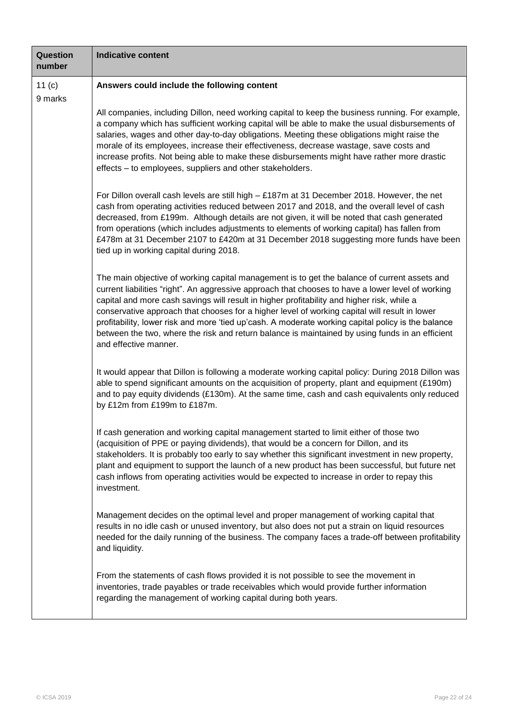| Question<br>number  | <b>Indicative content</b>                                                                                                                                                                                                                                                                                                                                                                                                                                                                                                                                                                                                          |
|---------------------|------------------------------------------------------------------------------------------------------------------------------------------------------------------------------------------------------------------------------------------------------------------------------------------------------------------------------------------------------------------------------------------------------------------------------------------------------------------------------------------------------------------------------------------------------------------------------------------------------------------------------------|
| 11 $(c)$<br>9 marks | Answers could include the following content                                                                                                                                                                                                                                                                                                                                                                                                                                                                                                                                                                                        |
|                     | All companies, including Dillon, need working capital to keep the business running. For example,<br>a company which has sufficient working capital will be able to make the usual disbursements of<br>salaries, wages and other day-to-day obligations. Meeting these obligations might raise the<br>morale of its employees, increase their effectiveness, decrease wastage, save costs and<br>increase profits. Not being able to make these disbursements might have rather more drastic<br>effects - to employees, suppliers and other stakeholders.                                                                           |
|                     | For Dillon overall cash levels are still high $-$ £187m at 31 December 2018. However, the net<br>cash from operating activities reduced between 2017 and 2018, and the overall level of cash<br>decreased, from £199m. Although details are not given, it will be noted that cash generated<br>from operations (which includes adjustments to elements of working capital) has fallen from<br>£478m at 31 December 2107 to £420m at 31 December 2018 suggesting more funds have been<br>tied up in working capital during 2018.                                                                                                    |
|                     | The main objective of working capital management is to get the balance of current assets and<br>current liabilities "right". An aggressive approach that chooses to have a lower level of working<br>capital and more cash savings will result in higher profitability and higher risk, while a<br>conservative approach that chooses for a higher level of working capital will result in lower<br>profitability, lower risk and more 'tied up'cash. A moderate working capital policy is the balance<br>between the two, where the risk and return balance is maintained by using funds in an efficient<br>and effective manner. |
|                     | It would appear that Dillon is following a moderate working capital policy: During 2018 Dillon was<br>able to spend significant amounts on the acquisition of property, plant and equipment (£190m)<br>and to pay equity dividends (£130m). At the same time, cash and cash equivalents only reduced<br>by £12m from £199m to £187m.                                                                                                                                                                                                                                                                                               |
|                     | If cash generation and working capital management started to limit either of those two<br>(acquisition of PPE or paying dividends), that would be a concern for Dillon, and its<br>stakeholders. It is probably too early to say whether this significant investment in new property,<br>plant and equipment to support the launch of a new product has been successful, but future net<br>cash inflows from operating activities would be expected to increase in order to repay this<br>investment.                                                                                                                              |
|                     | Management decides on the optimal level and proper management of working capital that<br>results in no idle cash or unused inventory, but also does not put a strain on liquid resources<br>needed for the daily running of the business. The company faces a trade-off between profitability<br>and liquidity.                                                                                                                                                                                                                                                                                                                    |
|                     | From the statements of cash flows provided it is not possible to see the movement in<br>inventories, trade payables or trade receivables which would provide further information<br>regarding the management of working capital during both years.                                                                                                                                                                                                                                                                                                                                                                                 |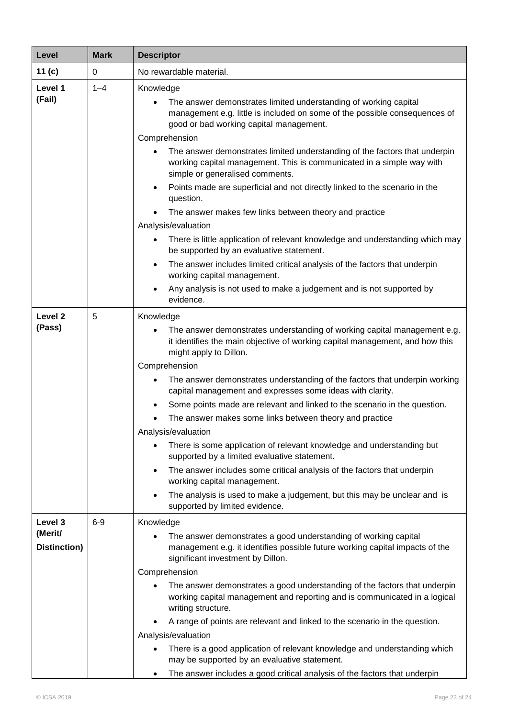| Level                   | <b>Mark</b> | <b>Descriptor</b>                                                                                                                                                                      |  |  |
|-------------------------|-------------|----------------------------------------------------------------------------------------------------------------------------------------------------------------------------------------|--|--|
| 11 $(c)$                | 0           | No rewardable material.                                                                                                                                                                |  |  |
| Level 1<br>(Fail)       | $1 - 4$     | Knowledge<br>The answer demonstrates limited understanding of working capital<br>management e.g. little is included on some of the possible consequences of                            |  |  |
|                         |             | good or bad working capital management.                                                                                                                                                |  |  |
|                         |             | Comprehension                                                                                                                                                                          |  |  |
|                         |             | The answer demonstrates limited understanding of the factors that underpin<br>working capital management. This is communicated in a simple way with<br>simple or generalised comments. |  |  |
|                         |             | Points made are superficial and not directly linked to the scenario in the<br>$\bullet$<br>question.                                                                                   |  |  |
|                         |             | The answer makes few links between theory and practice                                                                                                                                 |  |  |
|                         |             | Analysis/evaluation                                                                                                                                                                    |  |  |
|                         |             | There is little application of relevant knowledge and understanding which may<br>$\bullet$<br>be supported by an evaluative statement.                                                 |  |  |
|                         |             | The answer includes limited critical analysis of the factors that underpin<br>$\bullet$<br>working capital management.                                                                 |  |  |
|                         |             | Any analysis is not used to make a judgement and is not supported by<br>evidence.                                                                                                      |  |  |
| Level <sub>2</sub>      | 5           | Knowledge                                                                                                                                                                              |  |  |
| (Pass)                  |             | The answer demonstrates understanding of working capital management e.g.<br>it identifies the main objective of working capital management, and how this<br>might apply to Dillon.     |  |  |
|                         |             | Comprehension                                                                                                                                                                          |  |  |
|                         |             | The answer demonstrates understanding of the factors that underpin working<br>capital management and expresses some ideas with clarity.                                                |  |  |
|                         |             | Some points made are relevant and linked to the scenario in the question.<br>٠                                                                                                         |  |  |
|                         |             | The answer makes some links between theory and practice                                                                                                                                |  |  |
|                         |             | Analysis/evaluation                                                                                                                                                                    |  |  |
|                         |             | There is some application of relevant knowledge and understanding but<br>supported by a limited evaluative statement.                                                                  |  |  |
|                         |             | The answer includes some critical analysis of the factors that underpin<br>$\bullet$<br>working capital management.                                                                    |  |  |
|                         |             | The analysis is used to make a judgement, but this may be unclear and is<br>supported by limited evidence.                                                                             |  |  |
| Level 3                 | $6-9$       | Knowledge                                                                                                                                                                              |  |  |
| (Merit/<br>Distinction) |             | The answer demonstrates a good understanding of working capital<br>management e.g. it identifies possible future working capital impacts of the                                        |  |  |
|                         |             | significant investment by Dillon.                                                                                                                                                      |  |  |
|                         |             | Comprehension                                                                                                                                                                          |  |  |
|                         |             | The answer demonstrates a good understanding of the factors that underpin<br>working capital management and reporting and is communicated in a logical<br>writing structure.           |  |  |
|                         |             | A range of points are relevant and linked to the scenario in the question.                                                                                                             |  |  |
|                         |             | Analysis/evaluation                                                                                                                                                                    |  |  |
|                         |             | There is a good application of relevant knowledge and understanding which<br>may be supported by an evaluative statement.                                                              |  |  |
|                         |             | The answer includes a good critical analysis of the factors that underpin<br>$\bullet$                                                                                                 |  |  |